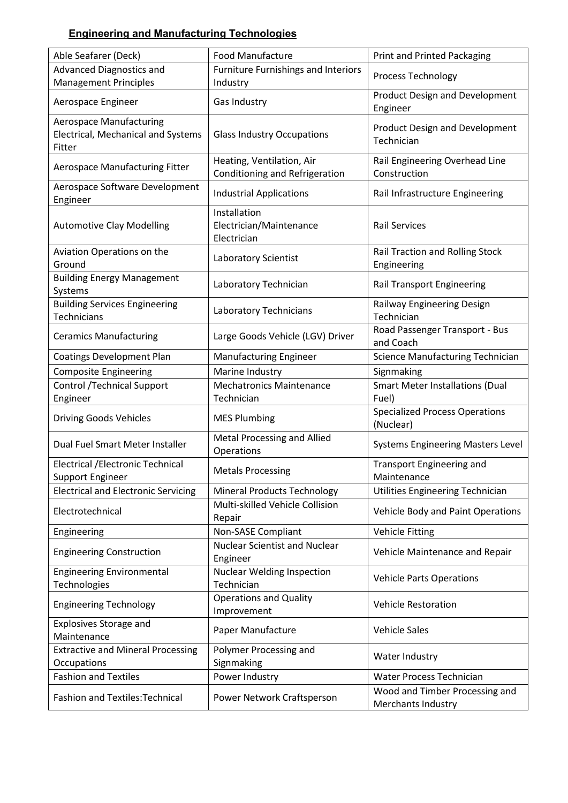## **Engineering and Manufacturing Technologies**

| Able Seafarer (Deck)                                         | <b>Food Manufacture</b>                                     | <b>Print and Printed Packaging</b>                   |
|--------------------------------------------------------------|-------------------------------------------------------------|------------------------------------------------------|
| Advanced Diagnostics and<br><b>Management Principles</b>     | <b>Furniture Furnishings and Interiors</b><br>Industry      | Process Technology                                   |
| Aerospace Engineer                                           | Gas Industry                                                | <b>Product Design and Development</b><br>Engineer    |
| <b>Aerospace Manufacturing</b>                               |                                                             |                                                      |
| Electrical, Mechanical and Systems<br>Fitter                 | <b>Glass Industry Occupations</b>                           | <b>Product Design and Development</b><br>Technician  |
| Aerospace Manufacturing Fitter                               | Heating, Ventilation, Air<br>Conditioning and Refrigeration | Rail Engineering Overhead Line<br>Construction       |
| Aerospace Software Development<br>Engineer                   | <b>Industrial Applications</b>                              | Rail Infrastructure Engineering                      |
| <b>Automotive Clay Modelling</b>                             | Installation<br>Electrician/Maintenance<br>Electrician      | <b>Rail Services</b>                                 |
| Aviation Operations on the<br>Ground                         | Laboratory Scientist                                        | Rail Traction and Rolling Stock<br>Engineering       |
| <b>Building Energy Management</b><br>Systems                 | Laboratory Technician                                       | <b>Rail Transport Engineering</b>                    |
| <b>Building Services Engineering</b><br>Technicians          | Laboratory Technicians                                      | Railway Engineering Design<br>Technician             |
| <b>Ceramics Manufacturing</b>                                | Large Goods Vehicle (LGV) Driver                            | Road Passenger Transport - Bus<br>and Coach          |
| <b>Coatings Development Plan</b>                             | <b>Manufacturing Engineer</b>                               | <b>Science Manufacturing Technician</b>              |
| <b>Composite Engineering</b>                                 | Marine Industry                                             | Signmaking                                           |
| <b>Control /Technical Support</b><br>Engineer                | <b>Mechatronics Maintenance</b><br>Technician               | <b>Smart Meter Installations (Dual</b><br>Fuel)      |
| <b>Driving Goods Vehicles</b>                                | <b>MES Plumbing</b>                                         | <b>Specialized Process Operations</b><br>(Nuclear)   |
| Dual Fuel Smart Meter Installer                              | Metal Processing and Allied<br>Operations                   | <b>Systems Engineering Masters Level</b>             |
| Electrical / Electronic Technical<br><b>Support Engineer</b> | <b>Metals Processing</b>                                    | <b>Transport Engineering and</b><br>Maintenance      |
| <b>Electrical and Electronic Servicing</b>                   | <b>Mineral Products Technology</b>                          | Utilities Engineering Technician                     |
| Electrotechnical                                             | Multi-skilled Vehicle Collision<br>Repair                   | Vehicle Body and Paint Operations                    |
| Engineering                                                  | Non-SASE Compliant                                          | <b>Vehicle Fitting</b>                               |
| <b>Engineering Construction</b>                              | <b>Nuclear Scientist and Nuclear</b><br>Engineer            | Vehicle Maintenance and Repair                       |
| <b>Engineering Environmental</b><br>Technologies             | <b>Nuclear Welding Inspection</b><br>Technician             | <b>Vehicle Parts Operations</b>                      |
| <b>Engineering Technology</b>                                | <b>Operations and Quality</b><br>Improvement                | <b>Vehicle Restoration</b>                           |
| <b>Explosives Storage and</b><br>Maintenance                 | Paper Manufacture                                           | <b>Vehicle Sales</b>                                 |
| <b>Extractive and Mineral Processing</b><br>Occupations      | Polymer Processing and<br>Signmaking                        | Water Industry                                       |
| <b>Fashion and Textiles</b>                                  | Power Industry                                              | Water Process Technician                             |
| Fashion and Textiles: Technical                              | Power Network Craftsperson                                  | Wood and Timber Processing and<br>Merchants Industry |